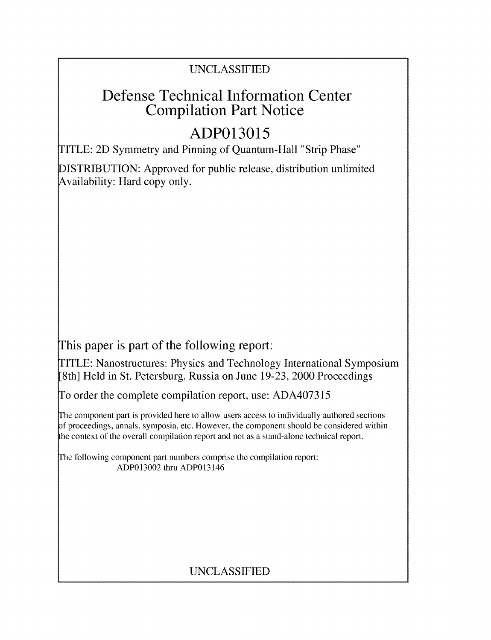## UNCLASSIFIED

# Defense Technical Information Center Compilation Part Notice

# **ADP013015**

TITLE: 2D Symmetry and Pinning of Quantum-Hall "Strip Phase"

DISTRIBUTION: Approved for public release, distribution unlimited Availability: Hard copy only.

This paper is part of the following report:

TITLE: Nanostructures: Physics and Technology International Symposium [8th] Held in St. Petersburg, Russia on June 19-23, 2000 Proceedings

To order the complete compilation report, use: ADA407315

The component part is provided here to allow users access to individually authored sections f proceedings, annals, symposia, etc. However, the component should be considered within the context of the overall compilation report and not as a stand-alone technical report.

The following component part numbers comprise the compilation report: ADP013002 thru ADP013146

## UNCLASSIFIED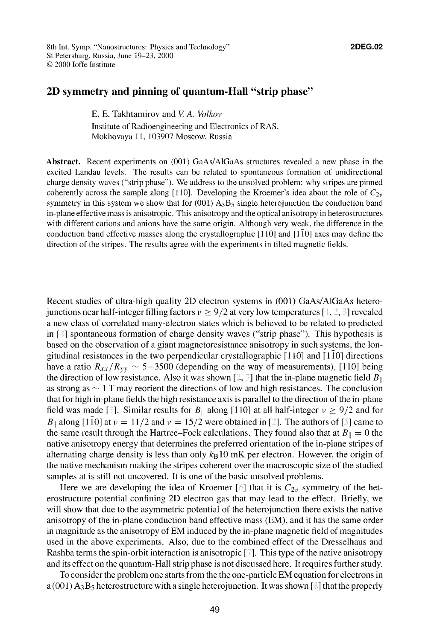### **2D** symmetry and pinning of quantum-Hall "strip phase"

E. E. Takhtamirov and V A. *Volkov* Institute of Radioengineering and Electronics of RAS, Mokhovaya 11, 103907 Moscow, Russia

Abstract. Recent experiments on (001) GaAs/AlGaAs structures revealed a new phase in the excited Landau levels. The results can be related to spontaneous formation of unidirectional charge density waves ("strip phase"). We address to the unsolved problem: why stripes are pinned coherently across the sample along [110]. Developing the Kroemer's idea about the role of  $C_{2v}$ symmetry in this system we show that for (001)  $A_3B_5$  single heterojunction the conduction band in-plane effective mass is anisotropic. This anisotropy and the optical anisotropy in heterostructures with different cations and anions have the same origin. Although very weak, the difference in the conduction band effective masses along the crystallographic  $[110]$  and  $[1\overline{1}0]$  axes may define the direction of the stripes. The results agree with the experiments in tilted magnetic fields.

Recent studies of ultra-high quality 2D electron systems in (001) GaAs/AlGaAs heterojunctions near half-integer filling factors  $v \ge 9/2$  at very low temperatures [1, 2, 3] revealed a new class of correlated many-electron states which is believed to be related to predicted in [4] spontaneous formation of charge density waves ("strip phase"). This hypothesis is based on the observation of a giant magnetoresistance anisotropy in such systems, the longitudinal resistances in the two perpendicular crystallographic  $[110]$  and  $[110]$  directions have a ratio  $R_{xx}/R_{yy} \sim 5-3500$  (depending on the way of measurements), [110] being the direction of low resistance. Also it was shown [2, 3] that the in-plane magnetic field  $B_{\parallel}$ as strong as  $\sim$  1 T may reorient the directions of low and high resistances. The conclusion that for high in-plane fields the high resistance axis is parallel to the direction of the in-plane field was made [3]. Similar results for  $B_{\parallel}$  along [110] at all half-integer  $v \ge 9/2$  and for *B*<sub>||</sub> along [110] at  $\nu = 11/2$  and  $\nu = 15/2$  were obtained in [2]. The authors of [5] came to the same result through the Hartree-Fock calculations. They found also that at  $B_{\parallel} = 0$  the native anisotropy energy that determines the preferred orientation of the in-plane stripes of alternating charge density is less than only  $k_B 10$  mK per electron. However, the origin of the native mechanism making the stripes coherent over the macroscopic size of the studied samples at is still not uncovered. It is one of the basic unsolved problems.

Here we are developing the idea of Kroemer [6] that it is  $C_{2v}$  symmetry of the heterostructure potential confining 2D electron gas that may lead to the effect. Briefly, we will show that due to the asymmetric potential of the heterojunction there exists the native anisotropy of the in-plane conduction band effective mass (EM), and it has the same order in magnitude as the anisotropy of EM induced by the in-plane magnetic field of magnitudes used in the above experiments. Also, due to the combined effect of the Dresselhaus and Rashba terms the spin-orbit interaction is anisotropic **[ ].** This type of the native anisotropy and its effect on the quantum-Hall strip phase is not discussed here. It requires further study.

To consider the problem one starts from the the one-particle EM equation for electrons in a (001)  $A_3B_5$  heterostructure with a single heterojunction. It was shown [ $\mathcal{E}$ ] that the properly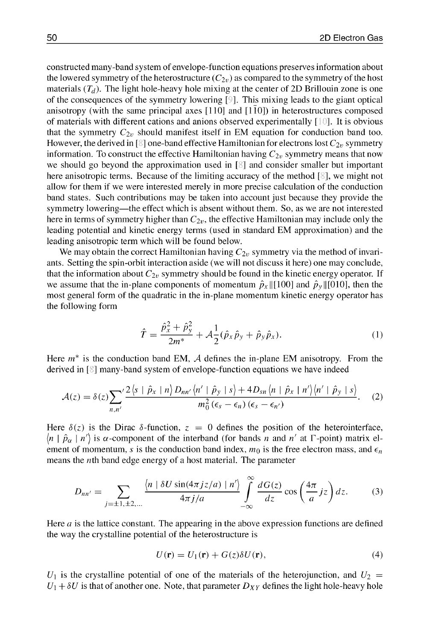constructed many-band system of envelope-function equations preserves information about the lowered symmetry of the heterostructure  $(C_{2v})$  as compared to the symmetry of the host materials  $(T_d)$ . The light hole-heavy hole mixing at the center of 2D Brillouin zone is one of the consequences of the symmetry lowering **1\_** . This mixing leads to the giant optical anisotropy (with the same principal axes  $[110]$  and  $[110]$ ) in heterostructures composed of materials with different cations and anions observed experimentally **[ 1.** It is obvious that the symmetry  $C_{2v}$  should manifest itself in EM equation for conduction band too. However, the derived in  $\lbrack \S \rbrack$  one-band effective Hamiltonian for electrons lost  $C_{2v}$  symmetry information. To construct the effective Hamiltonian having  $C_{2v}$  symmetry means that now we should go beyond the approximation used in  $[\&]$  and consider smaller but important here anisotropic terms. Because of the limiting accuracy of the method  $\lceil \xi \rceil$ , we might not allow for them if we were interested merely in more precise calculation of the conduction band states. Such contributions may be taken into account just because they provide the symmetry lowering—the effect which is absent without them. So, as we are not interested here in terms of symmetry higher than  $C_{2\nu}$ , the effective Hamiltonian may include only the leading potential and kinetic energy terms (used in standard EM approximation) and the leading anisotropic term which will be found below.

We may obtain the correct Hamiltonian having  $C_{2v}$  symmetry via the method of invariants. Setting the spin-orbit interaction aside (we will not discuss it here) one may conclude, that the information about  $C_{2v}$  symmetry should be found in the kinetic energy operator. If we assume that the in-plane components of momentum  $\hat{p}_x \parallel [100]$  and  $\hat{p}_y \parallel [010]$ , then the most general form of the quadratic in the in-plane momentum kinetic energy operator has the following form

$$
\hat{T} = \frac{\hat{p}_x^2 + \hat{p}_y^2}{2m^*} + \mathcal{A} \frac{1}{2} (\hat{p}_x \hat{p}_y + \hat{p}_y \hat{p}_x).
$$
\n(1)

Here  $m^*$  is the conduction band EM,  $\mathcal A$  defines the in-plane EM anisotropy. From the derived in  $\lbrack \mathcal{E} \rbrack$  many-band system of envelope-function equations we have indeed

$$
\mathcal{A}(z) = \delta(z) \sum_{n,n'} \frac{2 \left\langle s \mid \hat{p}_x \mid n \right\rangle D_{nn'} \left\langle n' \mid \hat{p}_y \mid s \right\rangle + 4 D_{sn} \left\langle n \mid \hat{p}_x \mid n' \right\rangle \left\langle n' \mid \hat{p}_y \mid s \right\rangle}{m_0^2 \left(\epsilon_s - \epsilon_n\right) \left(\epsilon_s - \epsilon_{n'}\right)}.
$$
 (2)

Here  $\delta(z)$  is the Dirac  $\delta$ -function,  $z = 0$  defines the position of the heterointerface,  $\langle n | \hat{p}_{\alpha} | n' \rangle$  is  $\alpha$ -component of the interband (for bands n and n' at  $\Gamma$ -point) matrix element of momentum, s is the conduction band index,  $m_0$  is the free electron mass, and  $\epsilon_n$ means the nth band edge energy of a host material. The parameter

$$
D_{nn'} = \sum_{j=\pm 1,\pm 2,\dots} \frac{\langle n \mid \delta U \sin(4\pi jz/a) \mid n' \rangle}{4\pi j/a} \int_{-\infty}^{\infty} \frac{dG(z)}{dz} \cos\left(\frac{4\pi}{a} jz\right) dz.
$$
 (3)

Here *a* is the lattice constant. The appearing in the above expression functions are defined the way the crystalline potential of the heterostructure is

$$
U(\mathbf{r}) = U_1(\mathbf{r}) + G(z)\delta U(\mathbf{r}),\tag{4}
$$

 $U_1$  is the crystalline potential of one of the materials of the heterojunction, and  $U_2 =$  $U_1 + \delta U$  is that of another one. Note, that parameter  $D_{XY}$  defines the light hole-heavy hole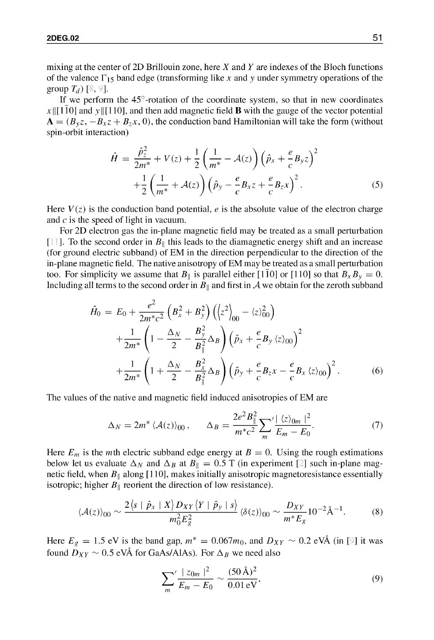mixing at the center of 2D Brillouin zone, here  $X$  and  $Y$  are indexes of the Bloch functions of the valence  $\Gamma_{15}$  band edge (transforming like x and y under symmetry operations of the group  $T_d$ ) [8, 9].

If we perform the 45°-rotation of the coordinate system, so that in new coordinates  $x \parallel [110]$  and y  $\parallel [110]$ , and then add magnetic field **B** with the gauge of the vector potential  $\mathbf{A} = (B_{y}z, -B_{x}z + B_{z}x, 0)$ , the conduction band Hamiltonian will take the form (without spin-orbit interaction)

$$
\hat{H} = \frac{\hat{p}_z^2}{2m^*} + V(z) + \frac{1}{2} \left( \frac{1}{m^*} - A(z) \right) \left( \hat{p}_x + \frac{e}{c} B_y z \right)^2 \n+ \frac{1}{2} \left( \frac{1}{m^*} + A(z) \right) \left( \hat{p}_y - \frac{e}{c} B_x z + \frac{e}{c} B_z x \right)^2.
$$
\n(5)

Here  $V(z)$  is the conduction band potential, e is the absolute value of the electron charge and  $c$  is the speed of light in vacuum.

For 2D electron gas the in-plane magnetic field may be treated as a small perturbation [ $11$ ]. To the second order in  $B_{\parallel}$  this leads to the diamagnetic energy shift and an increase (for ground electric subband) of EM in the direction perpendicular to the direction of the in-plane magnetic field. The native anisotropy of EM may be treated as a small perturbation too. For simplicity we assume that  $B_{\parallel}$  is parallel either [110] or [110] so that  $B_x B_y = 0$ . Including all terms to the second order in  $B_\parallel$  and first in  ${\mathcal A}$  we obtain for the zeroth subband

$$
\hat{H}_0 = E_0 + \frac{e^2}{2m^*c^2} \left( B_x^2 + B_y^2 \right) \left( \left\langle z^2 \right\rangle_{00} - \left\langle z \right\rangle_{00}^2 \right) \n+ \frac{1}{2m^*} \left( 1 - \frac{\Delta_N}{2} - \frac{B_y^2}{B_\parallel^2} \Delta_B \right) \left( \hat{p}_x + \frac{e}{c} B_y \left\langle z \right\rangle_{00} \right)^2 \n+ \frac{1}{2m^*} \left( 1 + \frac{\Delta_N}{2} - \frac{B_x^2}{B_\parallel^2} \Delta_B \right) \left( \hat{p}_y + \frac{e}{c} B_z x - \frac{e}{c} B_x \left\langle z \right\rangle_{00} \right)^2.
$$
\n(6)

The values of the native and magnetic field induced anisotropies of EM are

$$
\Delta_N = 2m^* \langle \mathcal{A}(z) \rangle_{00}, \qquad \Delta_B = \frac{2e^2 B_\parallel^2}{m^* c^2} \sum_m' \frac{|\langle z \rangle_{0m}|^2}{E_m - E_0}.
$$
 (7)

Here  $E_m$  is the *m*th electric subband edge energy at  $B = 0$ . Using the rough estimations below let us evaluate  $\Delta_N$  and  $\Delta_B$  at  $B_{\parallel} = 0.5$  T (in experiment [2] such in-plane magnetic field, when  $B_{\parallel}$  along [110], makes initially anisotropic magnetoresistance essentially isotropic; higher  $B_{\parallel}$  reorient the direction of low resistance).

$$
\langle \mathcal{A}(z) \rangle_{00} \sim \frac{2 \langle s \mid \hat{p}_x \mid X \rangle D_{XY} \langle Y \mid \hat{p}_y \mid s \rangle}{m_0^2 E_g^2} \langle \delta(z) \rangle_{00} \sim \frac{D_{XY}}{m^* E_g} 10^{-2} \text{\AA}^{-1}.
$$
 (8)

Here  $E_g = 1.5$  eV is the band gap,  $m^* = 0.067m_0$ , and  $D_{XY} \sim 0.2$  eVÅ (in [9] it was found  $D_{XY} \sim 0.5 \text{ eV\AA}$  for GaAs/AlAs). For  $\Delta_B$  we need also

$$
\sum_{m}^{\prime} \frac{|z_{0m}|^2}{E_m - E_0} \sim \frac{(50 \text{ Å})^2}{0.01 \text{ eV}}.
$$
\n(9)